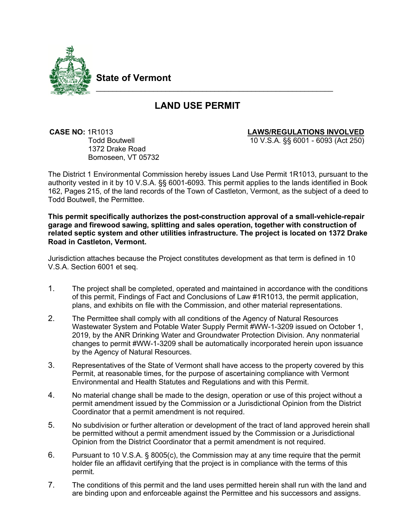

**State of Vermont**

# **LAND USE PERMIT**

 $\mathcal{L}_\text{max}$  , and the contract of the contract of the contract of the contract of the contract of the contract of the contract of the contract of the contract of the contract of the contract of the contract of the contr

**CASE NO:** 1R1013 **LAWS/REGULATIONS INVOLVED**<br>Todd Boutwell **10 V.S.A. & 6001 - 6093 (Act 250)**  1372 Drake Road Bomoseen, VT 05732

10 V.S.A. §§ 6001 - 6093 (Act 250)

The District 1 Environmental Commission hereby issues Land Use Permit 1R1013, pursuant to the authority vested in it by 10 V.S.A. §§ 6001-6093. This permit applies to the lands identified in Book 162, Pages 215, of the land records of the Town of Castleton, Vermont, as the subject of a deed to Todd Boutwell, the Permittee.

**This permit specifically authorizes the post-construction approval of a small-vehicle-repair garage and firewood sawing, splitting and sales operation, together with construction of related septic system and other utilities infrastructure. The project is located on 1372 Drake Road in Castleton, Vermont.**

Jurisdiction attaches because the Project constitutes development as that term is defined in 10 V.S.A. Section 6001 et seq.

- 1. The project shall be completed, operated and maintained in accordance with the conditions of this permit, Findings of Fact and Conclusions of Law #1R1013, the permit application, plans, and exhibits on file with the Commission, and other material representations.
- 2. The Permittee shall comply with all conditions of the Agency of Natural Resources Wastewater System and Potable Water Supply Permit #WW-1-3209 issued on October 1, 2019, by the ANR Drinking Water and Groundwater Protection Division. Any nonmaterial changes to permit #WW-1-3209 shall be automatically incorporated herein upon issuance by the Agency of Natural Resources.
- 3. Representatives of the State of Vermont shall have access to the property covered by this Permit, at reasonable times, for the purpose of ascertaining compliance with Vermont Environmental and Health Statutes and Regulations and with this Permit.
- 4. No material change shall be made to the design, operation or use of this project without a permit amendment issued by the Commission or a Jurisdictional Opinion from the District Coordinator that a permit amendment is not required.
- 5. No subdivision or further alteration or development of the tract of land approved herein shall be permitted without a permit amendment issued by the Commission or a Jurisdictional Opinion from the District Coordinator that a permit amendment is not required.
- 6. Pursuant to 10 V.S.A. § 8005(c), the Commission may at any time require that the permit holder file an affidavit certifying that the project is in compliance with the terms of this permit.
- 7. The conditions of this permit and the land uses permitted herein shall run with the land and are binding upon and enforceable against the Permittee and his successors and assigns.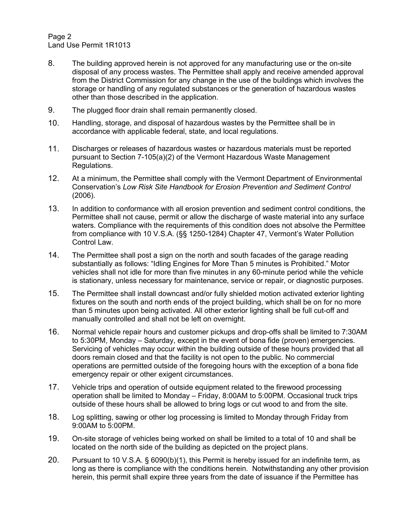## Page 2 Land Use Permit 1R1013

- 8. The building approved herein is not approved for any manufacturing use or the on-site disposal of any process wastes. The Permittee shall apply and receive amended approval from the District Commission for any change in the use of the buildings which involves the storage or handling of any regulated substances or the generation of hazardous wastes other than those described in the application.
- 9. The plugged floor drain shall remain permanently closed.
- 10. Handling, storage, and disposal of hazardous wastes by the Permittee shall be in accordance with applicable federal, state, and local regulations.
- 11. Discharges or releases of hazardous wastes or hazardous materials must be reported pursuant to Section 7-105(a)(2) of the Vermont Hazardous Waste Management Regulations.
- 12. At a minimum, the Permittee shall comply with the Vermont Department of Environmental Conservation's *Low Risk Site Handbook for Erosion Prevention and Sediment Control*  (2006).
- 13. In addition to conformance with all erosion prevention and sediment control conditions, the Permittee shall not cause, permit or allow the discharge of waste material into any surface waters. Compliance with the requirements of this condition does not absolve the Permittee from compliance with 10 V.S.A. (§§ 1250-1284) Chapter 47, Vermont's Water Pollution Control Law.
- 14. The Permittee shall post a sign on the north and south facades of the garage reading substantially as follows: "Idling Engines for More Than 5 minutes is Prohibited." Motor vehicles shall not idle for more than five minutes in any 60-minute period while the vehicle is stationary, unless necessary for maintenance, service or repair, or diagnostic purposes.
- 15. The Permittee shall install downcast and/or fully shielded motion activated exterior lighting fixtures on the south and north ends of the project building, which shall be on for no more than 5 minutes upon being activated. All other exterior lighting shall be full cut-off and manually controlled and shall not be left on overnight.
- 16. Normal vehicle repair hours and customer pickups and drop-offs shall be limited to 7:30AM to 5:30PM, Monday – Saturday, except in the event of bona fide (proven) emergencies. Servicing of vehicles may occur within the building outside of these hours provided that all doors remain closed and that the facility is not open to the public. No commercial operations are permitted outside of the foregoing hours with the exception of a bona fide emergency repair or other exigent circumstances.
- 17. Vehicle trips and operation of outside equipment related to the firewood processing operation shall be limited to Monday – Friday, 8:00AM to 5:00PM. Occasional truck trips outside of these hours shall be allowed to bring logs or cut wood to and from the site.
- 18. Log splitting, sawing or other log processing is limited to Monday through Friday from 9:00AM to 5:00PM.
- 19. On-site storage of vehicles being worked on shall be limited to a total of 10 and shall be located on the north side of the building as depicted on the project plans.
- 20. Pursuant to 10 V.S.A. § 6090(b)(1), this Permit is hereby issued for an indefinite term, as long as there is compliance with the conditions herein. Notwithstanding any other provision herein, this permit shall expire three years from the date of issuance if the Permittee has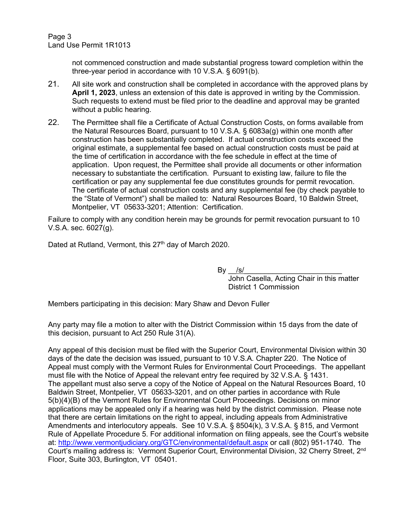Page 3 Land Use Permit 1R1013

> not commenced construction and made substantial progress toward completion within the three-year period in accordance with 10 V.S.A. § 6091(b).

- 21. All site work and construction shall be completed in accordance with the approved plans by **April 1, 2023**, unless an extension of this date is approved in writing by the Commission. Such requests to extend must be filed prior to the deadline and approval may be granted without a public hearing.
- 22. The Permittee shall file a Certificate of Actual Construction Costs, on forms available from the Natural Resources Board, pursuant to 10 V.S.A. § 6083a(g) within one month after construction has been substantially completed. If actual construction costs exceed the original estimate, a supplemental fee based on actual construction costs must be paid at the time of certification in accordance with the fee schedule in effect at the time of application. Upon request, the Permittee shall provide all documents or other information necessary to substantiate the certification. Pursuant to existing law, failure to file the certification or pay any supplemental fee due constitutes grounds for permit revocation. The certificate of actual construction costs and any supplemental fee (by check payable to the "State of Vermont") shall be mailed to: Natural Resources Board, 10 Baldwin Street, Montpelier, VT 05633-3201; Attention: Certification.

Failure to comply with any condition herein may be grounds for permit revocation pursuant to 10 V.S.A. sec. 6027(g).

Dated at Rutland, Vermont, this 27<sup>th</sup> day of March 2020.

By \_\_/s/\_\_\_\_\_\_\_\_\_\_\_\_\_\_\_\_\_\_\_\_\_\_\_\_

John Casella, Acting Chair in this matter District 1 Commission

Members participating in this decision: Mary Shaw and Devon Fuller

Any party may file a motion to alter with the District Commission within 15 days from the date of this decision, pursuant to Act 250 Rule 31(A).

Any appeal of this decision must be filed with the Superior Court, Environmental Division within 30 days of the date the decision was issued, pursuant to 10 V.S.A. Chapter 220. The Notice of Appeal must comply with the Vermont Rules for Environmental Court Proceedings. The appellant must file with the Notice of Appeal the relevant entry fee required by 32 V.S.A. § 1431. The appellant must also serve a copy of the Notice of Appeal on the Natural Resources Board, 10 Baldwin Street, Montpelier, VT 05633-3201, and on other parties in accordance with Rule 5(b)(4)(B) of the Vermont Rules for Environmental Court Proceedings. Decisions on minor applications may be appealed only if a hearing was held by the district commission. Please note that there are certain limitations on the right to appeal, including appeals from Administrative Amendments and interlocutory appeals. See 10 V.S.A. § 8504(k), 3 V.S.A. § 815, and Vermont Rule of Appellate Procedure 5. For additional information on filing appeals, see the Court's website at:<http://www.vermontjudiciary.org/GTC/environmental/default.aspx> or call (802) 951-1740. The Court's mailing address is: Vermont Superior Court, Environmental Division, 32 Cherry Street, 2nd Floor, Suite 303, Burlington, VT 05401.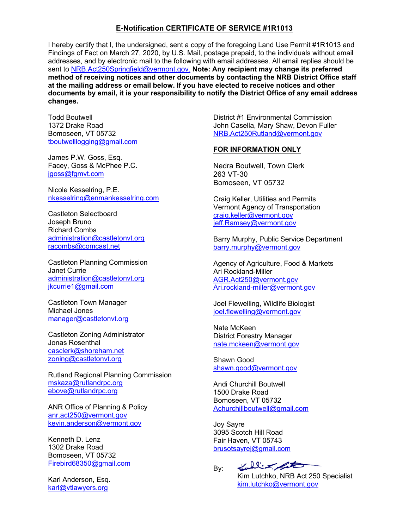## **E-Notification CERTIFICATE OF SERVICE #1R1013**

I hereby certify that I, the undersigned, sent a copy of the foregoing Land Use Permit #1R1013 and Findings of Fact on March 27, 2020, by U.S. Mail, postage prepaid, to the individuals without email addresses, and by electronic mail to the following with email addresses. All email replies should be sent to [NRB.Act250Springfield@vermont.gov.](mailto:NRB.Act250Springfield@vermont.gov.) **Note: Any recipient may change its preferred method of receiving notices and other documents by contacting the NRB District Office staff at the mailing address or email below. If you have elected to receive notices and other documents by email, it is your responsibility to notify the District Office of any email address changes.**

Todd Boutwell 1372 Drake Road Bomoseen, VT 05732 [tboutwelllogging@gmail.com](mailto:tboutwelllogging@gmail.com)

James P.W. Goss, Esq. Facey, Goss & McPhee P.C. [jgoss@fgmvt.com](mailto:jgoss@fgmvt.com)

Nicole Kesselring, P.E. [nkesselring@enmankesselring.com](mailto:nkesselring@enmankesselring.com)

Castleton Selectboard Joseph Bruno Richard Combs administration@castletonvt.org [racombs@comcast.net](mailto:racombs@comcast.net)

Castleton Planning Commission Janet Currie administration@castletonvt.org [jkcurrie1@gmail.com](mailto:jkcurrie1@gmail.com)

Castleton Town Manager Michael Jones [manager@castletonvt.org](mailto:manager@castletonvt.org)

Castleton Zoning Administrator Jonas Rosenthal casclerk@shoreham.net [zoning@castletonvt.org](mailto:zoning@castletonvt.org)

Rutland Regional Planning Commission [mskaza@rutlandrpc.org](mailto:mskaza@rutlandrpc.org) [ebove@rutlandrpc.org](mailto:ebove@rutlandrpc.org)

ANR Office of Planning & Policy [anr.act250@vermont.gov](mailto:anr.act250@vermont.gov) [kevin.anderson@vermont.gov](mailto:kevin.anderson@vermont.gov)

Kenneth D. Lenz 1302 Drake Road Bomoseen, VT 05732 [Firebird68350@gmail.com](mailto:Firebird68350@gmail.com)

Karl Anderson, Esq. [karl@vtlawyers.org](mailto:karl@vtlawyers.org)

District #1 Environmental Commission John Casella, Mary Shaw, Devon Fuller [NRB.Act250Rutland@vermont.gov](mailto:NRB.Act250Rutland@vermont.gov)

#### **FOR INFORMATION ONLY**

Nedra Boutwell, Town Clerk 263 VT-30 Bomoseen, VT 05732

Craig Keller, Utilities and Permits Vermont Agency of Transportation [craig.keller@vermont.gov](mailto:craig.keller@state.vt.us) [jeff.Ramsey@vermont.gov](mailto:jeff.Ramsey@vermont.gov)

Barry Murphy, Public Service Department [barry.murphy@vermont.gov](mailto:barry.murphy@vermont.gov)

Agency of Agriculture, Food & Markets Ari Rockland-Miller [AGR.Act250@v](mailto:AGR.Act250@)ermont.gov [Ari.rockland-miller@vermont.gov](mailto:Ari.rockland-miller@vermont.gov)

Joel Flewelling, Wildlife Biologist [joel.flewelling@vermont.gov](mailto:joel.flewelling@state.vt.us)

Nate McKeen District Forestry Manager nate.mckeen@vermont.gov

Shawn Good [shawn.good@vermont.gov](mailto:shawn.good@state.vt.us)

Andi Churchill Boutwell 1500 Drake Road Bomoseen, VT 05732 [Achurchillboutwell@gmail.com](mailto:Achurchillboutwell@gmail.com)

Joy Sayre 3095 Scotch Hill Road Fair Haven, VT 05743 [brusotsayrej@gmail.com](mailto:brusotsayrej@gmail.com)

Kulling fit By:

Kim Lutchko, NRB Act 250 Specialist [kim.lutchko@vermont.gov](mailto:kim.lutchko@vermont.gov)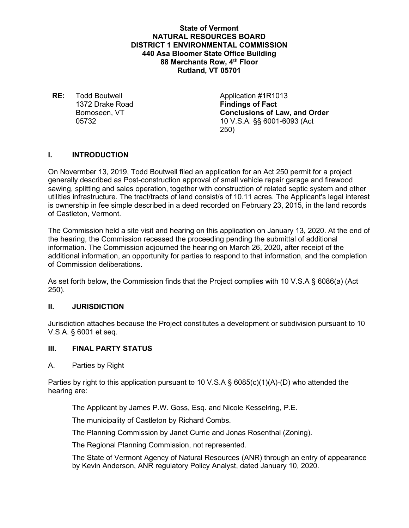**State of Vermont NATURAL RESOURCES BOARD DISTRICT 1 ENVIRONMENTAL COMMISSION 440 Asa Bloomer State Office Building 88 Merchants Row, 4th Floor Rutland, VT 05701**

**RE:** Todd Boutwell **RE:** Todd Boutwell 1372 Drake Road **Findings of Fact**

Bomoseen, VT<br>
05732 **Conclusions of Law, and Order**<br>
10 V.S.A. §§ 6001-6093 (Act 05732 10 V.S.A. §§ 6001-6093 (Act 250)

## **I. INTRODUCTION**

On Novermber 13, 2019, Todd Boutwell filed an application for an Act 250 permit for a project generally described as Post-construction approval of small vehicle repair garage and firewood sawing, splitting and sales operation, together with construction of related septic system and other utilities infrastructure. The tract/tracts of land consist/s of 10.11 acres. The Applicant's legal interest is ownership in fee simple described in a deed recorded on February 23, 2015, in the land records of Castleton, Vermont.

The Commission held a site visit and hearing on this application on January 13, 2020. At the end of the hearing, the Commission recessed the proceeding pending the submittal of additional information. The Commission adjourned the hearing on March 26, 2020, after receipt of the additional information, an opportunity for parties to respond to that information, and the completion of Commission deliberations.

As set forth below, the Commission finds that the Project complies with 10 V.S.A § 6086(a) (Act 250).

#### **II. JURISDICTION**

Jurisdiction attaches because the Project constitutes a development or subdivision pursuant to 10 V.S.A. § 6001 et seq.

## **III. FINAL PARTY STATUS**

A. Parties by Right

Parties by right to this application pursuant to 10 V.S.A §  $6085(c)(1)(A)$ -(D) who attended the hearing are:

The Applicant by James P.W. Goss, Esq. and Nicole Kesselring, P.E.

The municipality of Castleton by Richard Combs.

The Planning Commission by Janet Currie and Jonas Rosenthal (Zoning).

The Regional Planning Commission, not represented.

The State of Vermont Agency of Natural Resources (ANR) through an entry of appearance by Kevin Anderson, ANR regulatory Policy Analyst, dated January 10, 2020.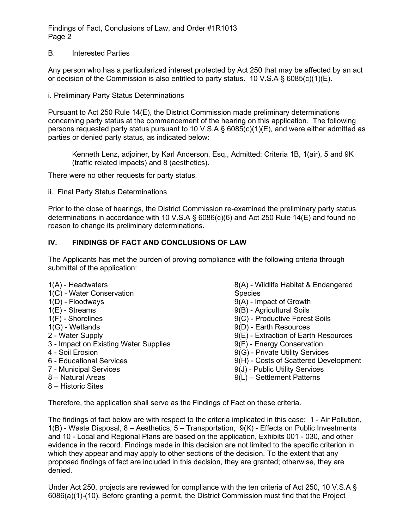## B. Interested Parties

Any person who has a particularized interest protected by Act 250 that may be affected by an act or decision of the Commission is also entitled to party status. 10 V.S.A § 6085(c)(1)(E).

i. Preliminary Party Status Determinations

Pursuant to Act 250 Rule 14(E), the District Commission made preliminary determinations concerning party status at the commencement of the hearing on this application. The following persons requested party status pursuant to 10 V.S.A § 6085(c)(1)(E), and were either admitted as parties or denied party status, as indicated below:

Kenneth Lenz, adjoiner, by Karl Anderson, Esq., Admitted: Criteria 1B, 1(air), 5 and 9K (traffic related impacts) and 8 (aesthetics).

There were no other requests for party status.

ii. Final Party Status Determinations

Prior to the close of hearings, the District Commission re-examined the preliminary party status determinations in accordance with 10 V.S.A § 6086(c)(6) and Act 250 Rule 14(E) and found no reason to change its preliminary determinations.

# **IV. FINDINGS OF FACT AND CONCLUSIONS OF LAW**

The Applicants has met the burden of proving compliance with the following criteria through submittal of the application:

- 1(A) Headwaters
- 1(C) Water Conservation
- 1(D) Floodways
- 1(E) Streams
- 1(F) Shorelines
- 1(G) Wetlands
- 2 Water Supply
- 3 Impact on Existing Water Supplies
- 4 Soil Erosion
- 6 Educational Services
- 7 Municipal Services
- 8 Natural Areas
- 8 Historic Sites

8(A) - Wildlife Habitat & Endangered **Species** 

- 9(A) Impact of Growth
- 9(B) Agricultural Soils
- 9(C) Productive Forest Soils
- 9(D) Earth Resources
- 9(E) Extraction of Earth Resources
- 9(F) Energy Conservation
- 9(G) Private Utility Services
- 9(H) Costs of Scattered Development
- 9(J) Public Utility Services
- 9(L) Settlement Patterns

Therefore, the application shall serve as the Findings of Fact on these criteria.

The findings of fact below are with respect to the criteria implicated in this case: 1 - Air Pollution, 1(B) - Waste Disposal, 8 – Aesthetics, 5 – Transportation, 9(K) - Effects on Public Investments and 10 - Local and Regional Plans are based on the application, Exhibits 001 - 030, and other evidence in the record. Findings made in this decision are not limited to the specific criterion in which they appear and may apply to other sections of the decision. To the extent that any proposed findings of fact are included in this decision, they are granted; otherwise, they are denied.

Under Act 250, projects are reviewed for compliance with the ten criteria of Act 250, 10 V.S.A § 6086(a)(1)-(10). Before granting a permit, the District Commission must find that the Project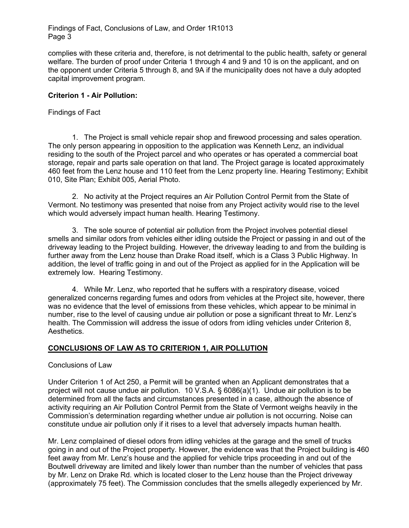complies with these criteria and, therefore, is not detrimental to the public health, safety or general welfare. The burden of proof under Criteria 1 through 4 and 9 and 10 is on the applicant, and on the opponent under Criteria 5 through 8, and 9A if the municipality does not have a duly adopted capital improvement program.

## **Criterion 1 - Air Pollution:**

## Findings of Fact

1. The Project is small vehicle repair shop and firewood processing and sales operation. The only person appearing in opposition to the application was Kenneth Lenz, an individual residing to the south of the Project parcel and who operates or has operated a commercial boat storage, repair and parts sale operation on that land. The Project garage is located approximately 460 feet from the Lenz house and 110 feet from the Lenz property line. Hearing Testimony; Exhibit 010, Site Plan; Exhibit 005, Aerial Photo.

2. No activity at the Project requires an Air Pollution Control Permit from the State of Vermont. No testimony was presented that noise from any Project activity would rise to the level which would adversely impact human health. Hearing Testimony.

3. The sole source of potential air pollution from the Project involves potential diesel smells and similar odors from vehicles either idling outside the Project or passing in and out of the driveway leading to the Project building. However, the driveway leading to and from the building is further away from the Lenz house than Drake Road itself, which is a Class 3 Public Highway. In addition, the level of traffic going in and out of the Project as applied for in the Application will be extremely low. Hearing Testimony.

4. While Mr. Lenz, who reported that he suffers with a respiratory disease, voiced generalized concerns regarding fumes and odors from vehicles at the Project site, however, there was no evidence that the level of emissions from these vehicles, which appear to be minimal in number, rise to the level of causing undue air pollution or pose a significant threat to Mr. Lenz's health. The Commission will address the issue of odors from idling vehicles under Criterion 8, Aesthetics.

## **CONCLUSIONS OF LAW AS TO CRITERION 1, AIR POLLUTION**

## Conclusions of Law

Under Criterion 1 of Act 250, a Permit will be granted when an Applicant demonstrates that a project will not cause undue air pollution. 10 V.S.A. § 6086(a)(1). Undue air pollution is to be determined from all the facts and circumstances presented in a case, although the absence of activity requiring an Air Pollution Control Permit from the State of Vermont weighs heavily in the Commission's determination regarding whether undue air pollution is not occurring. Noise can constitute undue air pollution only if it rises to a level that adversely impacts human health.

Mr. Lenz complained of diesel odors from idling vehicles at the garage and the smell of trucks going in and out of the Project property. However, the evidence was that the Project building is 460 feet away from Mr. Lenz's house and the applied for vehicle trips proceeding in and out of the Boutwell driveway are limited and likely lower than number than the number of vehicles that pass by Mr. Lenz on Drake Rd. which is located closer to the Lenz house than the Project driveway (approximately 75 feet). The Commission concludes that the smells allegedly experienced by Mr.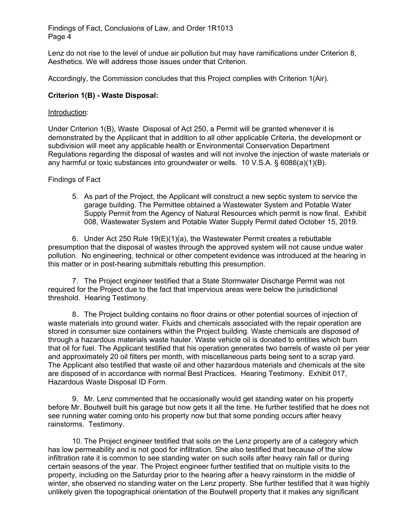Lenz do not rise to the level of undue air pollution but may have ramifications under Criterion 8, Aesthetics. We will address those issues under that Criterion.

Accordingly, the Commission concludes that this Project complies with Criterion 1(Air).

## **Criterion 1(B) - Waste Disposal:**

#### Introduction:

Under Criterion 1(B), Waste Disposal of Act 250, a Permit will be granted whenever it is demonstrated by the Applicant that in addition to all other applicable Criteria, the development or subdivision will meet any applicable health or Environmental Conservation Department Regulations regarding the disposal of wastes and will not involve the injection of waste materials or any harmful or toxic substances into groundwater or wells. 10 V.S.A.  $\S$  6086(a)(1)(B).

#### Findings of Fact

5. As part of the Project, the Applicant will construct a new septic system to service the garage building. The Permittee obtained a Wastewater System and Potable Water Supply Permit from the Agency of Natural Resources which permit is now final. Exhibit 008, Wastewater System and Potable Water Supply Permit dated October 15, 2019.

6. Under Act 250 Rule 19(E)(1)(a), the Wastewater Permit creates a rebuttable presumption that the disposal of wastes through the approved system will not cause undue water pollution. No engineering, technical or other competent evidence was introduced at the hearing in this matter or in post-hearing submittals rebutting this presumption.

7. The Project engineer testified that a State Stormwater Discharge Permit was not required for the Project due to the fact that impervious areas were below the jurisdictional threshold. Hearing Testimony.

8. The Project building contains no floor drains or other potential sources of injection of waste materials into ground water. Fluids and chemicals associated with the repair operation are stored in consumer size containers within the Project building. Waste chemicals are disposed of through a hazardous materials waste hauler. Waste vehicle oil is donated to entities which burn that oil for fuel. The Applicant testified that his operation generates two barrels of waste oil per year and approximately 20 oil filters per month, with miscellaneous parts being sent to a scrap yard. The Applicant also testified that waste oil and other hazardous materials and chemicals at the site are disposed of in accordance with normal Best Practices. Hearing Testimony. Exhibit 017, Hazardous Waste Disposal ID Form.

9. Mr. Lenz commented that he occasionally would get standing water on his property before Mr. Boutwell built his garage but now gets it all the time. He further testified that he does not see running water coming onto his property now but that some ponding occurs after heavy rainstorms. Testimony.

10. The Project engineer testified that soils on the Lenz property are of a category which has low permeability and is not good for infiltration. She also testified that because of the slow infiltration rate it is common to see standing water on such soils after heavy rain fall or during certain seasons of the year. The Project engineer further testified that on multiple visits to the property, including on the Saturday prior to the hearing after a heavy rainstorm in the middle of winter, she observed no standing water on the Lenz property. She further testified that it was highly unlikely given the topographical orientation of the Boutwell property that it makes any significant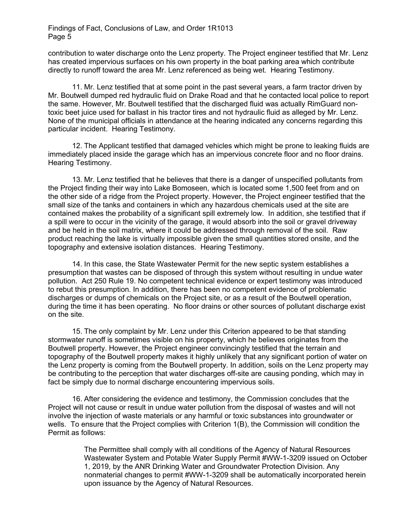contribution to water discharge onto the Lenz property. The Project engineer testified that Mr. Lenz has created impervious surfaces on his own property in the boat parking area which contribute directly to runoff toward the area Mr. Lenz referenced as being wet. Hearing Testimony.

11. Mr. Lenz testified that at some point in the past several years, a farm tractor driven by Mr. Boutwell dumped red hydraulic fluid on Drake Road and that he contacted local police to report the same. However, Mr. Boutwell testified that the discharged fluid was actually RimGuard nontoxic beet juice used for ballast in his tractor tires and not hydraulic fluid as alleged by Mr. Lenz. None of the municipal officials in attendance at the hearing indicated any concerns regarding this particular incident. Hearing Testimony.

12. The Applicant testified that damaged vehicles which might be prone to leaking fluids are immediately placed inside the garage which has an impervious concrete floor and no floor drains. Hearing Testimony.

13. Mr. Lenz testified that he believes that there is a danger of unspecified pollutants from the Project finding their way into Lake Bomoseen, which is located some 1,500 feet from and on the other side of a ridge from the Project property. However, the Project engineer testified that the small size of the tanks and containers in which any hazardous chemicals used at the site are contained makes the probability of a significant spill extremely low. In addition, she testified that if a spill were to occur in the vicinity of the garage, it would absorb into the soil or gravel driveway and be held in the soil matrix, where it could be addressed through removal of the soil. Raw product reaching the lake is virtually impossible given the small quantities stored onsite, and the topography and extensive isolation distances. Hearing Testimony.

14. In this case, the State Wastewater Permit for the new septic system establishes a presumption that wastes can be disposed of through this system without resulting in undue water pollution. Act 250 Rule 19. No competent technical evidence or expert testimony was introduced to rebut this presumption. In addition, there has been no competent evidence of problematic discharges or dumps of chemicals on the Project site, or as a result of the Boutwell operation, during the time it has been operating. No floor drains or other sources of pollutant discharge exist on the site.

15. The only complaint by Mr. Lenz under this Criterion appeared to be that standing stormwater runoff is sometimes visible on his property, which he believes originates from the Boutwell property. However, the Project engineer convincingly testified that the terrain and topography of the Boutwell property makes it highly unlikely that any significant portion of water on the Lenz property is coming from the Boutwell property. In addition, soils on the Lenz property may be contributing to the perception that water discharges off-site are causing ponding, which may in fact be simply due to normal discharge encountering impervious soils.

16. After considering the evidence and testimony, the Commission concludes that the Project will not cause or result in undue water pollution from the disposal of wastes and will not involve the injection of waste materials or any harmful or toxic substances into groundwater or wells. To ensure that the Project complies with Criterion 1(B), the Commission will condition the Permit as follows:

> The Permittee shall comply with all conditions of the Agency of Natural Resources Wastewater System and Potable Water Supply Permit #WW-1-3209 issued on October 1, 2019, by the ANR Drinking Water and Groundwater Protection Division. Any nonmaterial changes to permit #WW-1-3209 shall be automatically incorporated herein upon issuance by the Agency of Natural Resources.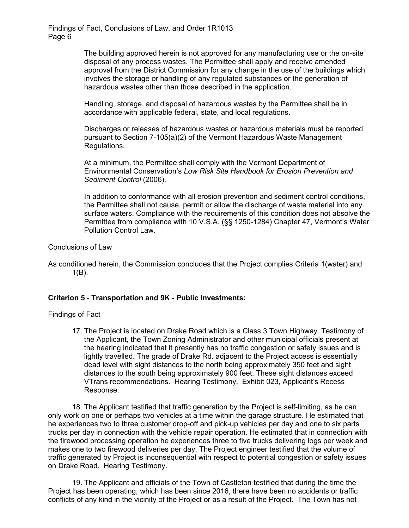> The building approved herein is not approved for any manufacturing use or the on-site disposal of any process wastes. The Permittee shall apply and receive amended approval from the District Commission for any change in the use of the buildings which involves the storage or handling of any regulated substances or the generation of hazardous wastes other than those described in the application.

Handling, storage, and disposal of hazardous wastes by the Permittee shall be in accordance with applicable federal, state, and local regulations.

Discharges or releases of hazardous wastes or hazardous materials must be reported pursuant to Section 7-105(a)(2) of the Vermont Hazardous Waste Management Regulations.

At a minimum, the Permittee shall comply with the Vermont Department of Environmental Conservation's *Low Risk Site Handbook for Erosion Prevention and Sediment Control* (2006).

In addition to conformance with all erosion prevention and sediment control conditions, the Permittee shall not cause, permit or allow the discharge of waste material into any surface waters. Compliance with the requirements of this condition does not absolve the Permittee from compliance with 10 V.S.A. (§§ 1250-1284) Chapter 47, Vermont's Water Pollution Control Law.

#### Conclusions of Law

As conditioned herein, the Commission concludes that the Project complies Criteria 1(water) and  $1(B)$ .

#### **Criterion 5 - Transportation and 9K - Public Investments:**

#### Findings of Fact

17. The Project is located on Drake Road which is a Class 3 Town Highway. Testimony of the Applicant, the Town Zoning Administrator and other municipal officials present at the hearing indicated that it presently has no traffic congestion or safety issues and is lightly travelled. The grade of Drake Rd. adjacent to the Project access is essentially dead level with sight distances to the north being approximately 350 feet and sight distances to the south being approximately 900 feet. These sight distances exceed VTrans recommendations. Hearing Testimony. Exhibit 023, Applicant's Recess Response.

18. The Applicant testified that traffic generation by the Project is self-limiting, as he can only work on one or perhaps two vehicles at a time within the garage structure. He estimated that he experiences two to three customer drop-off and pick-up vehicles per day and one to six parts trucks per day in connection with the vehicle repair operation. He estimated that in connection with the firewood processing operation he experiences three to five trucks delivering logs per week and makes one to two firewood deliveries per day. The Project engineer testified that the volume of traffic generated by Project is inconsequential with respect to potential congestion or safety issues on Drake Road. Hearing Testimony.

19. The Applicant and officials of the Town of Castleton testified that during the time the Project has been operating, which has been since 2016, there have been no accidents or traffic conflicts of any kind in the vicinity of the Project or as a result of the Project. The Town has not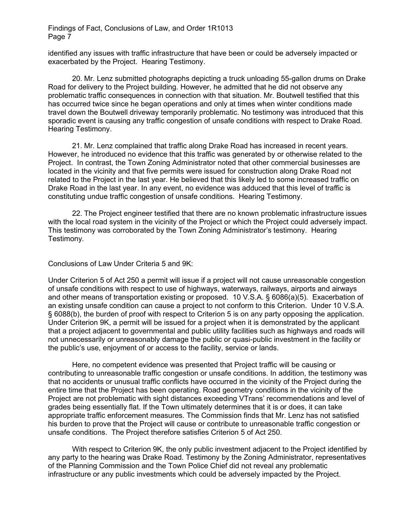identified any issues with traffic infrastructure that have been or could be adversely impacted or exacerbated by the Project. Hearing Testimony.

20. Mr. Lenz submitted photographs depicting a truck unloading 55-gallon drums on Drake Road for delivery to the Project building. However, he admitted that he did not observe any problematic traffic consequences in connection with that situation. Mr. Boutwell testified that this has occurred twice since he began operations and only at times when winter conditions made travel down the Boutwell driveway temporarily problematic. No testimony was introduced that this sporadic event is causing any traffic congestion of unsafe conditions with respect to Drake Road. Hearing Testimony.

21. Mr. Lenz complained that traffic along Drake Road has increased in recent years. However, he introduced no evidence that this traffic was generated by or otherwise related to the Project. In contrast, the Town Zoning Administrator noted that other commercial businesses are located in the vicinity and that five permits were issued for construction along Drake Road not related to the Project in the last year. He believed that this likely led to some increased traffic on Drake Road in the last year. In any event, no evidence was adduced that this level of traffic is constituting undue traffic congestion of unsafe conditions. Hearing Testimony.

22. The Project engineer testified that there are no known problematic infrastructure issues with the local road system in the vicinity of the Project or which the Project could adversely impact. This testimony was corroborated by the Town Zoning Administrator's testimony. Hearing Testimony.

#### Conclusions of Law Under Criteria 5 and 9K:

Under Criterion 5 of Act 250 a permit will issue if a project will not cause unreasonable congestion of unsafe conditions with respect to use of highways, waterways, railways, airports and airways and other means of transportation existing or proposed. 10 V.S.A. § 6086(a)(5). Exacerbation of an existing unsafe condition can cause a project to not conform to this Criterion. Under 10 V.S.A. § 6088(b), the burden of proof with respect to Criterion 5 is on any party opposing the application. Under Criterion 9K, a permit will be issued for a project when it is demonstrated by the applicant that a project adjacent to governmental and public utility facilities such as highways and roads will not unnecessarily or unreasonably damage the public or quasi-public investment in the facility or the public's use, enjoyment of or access to the facility, service or lands.

Here, no competent evidence was presented that Project traffic will be causing or contributing to unreasonable traffic congestion or unsafe conditions. In addition, the testimony was that no accidents or unusual traffic conflicts have occurred in the vicinity of the Project during the entire time that the Project has been operating. Road geometry conditions in the vicinity of the Project are not problematic with sight distances exceeding VTrans' recommendations and level of grades being essentially flat. If the Town ultimately determines that it is or does, it can take appropriate traffic enforcement measures. The Commission finds that Mr. Lenz has not satisfied his burden to prove that the Project will cause or contribute to unreasonable traffic congestion or unsafe conditions. The Project therefore satisfies Criterion 5 of Act 250.

With respect to Criterion 9K, the only public investment adjacent to the Project identified by any party to the hearing was Drake Road. Testimony by the Zoning Administrator, representatives of the Planning Commission and the Town Police Chief did not reveal any problematic infrastructure or any public investments which could be adversely impacted by the Project.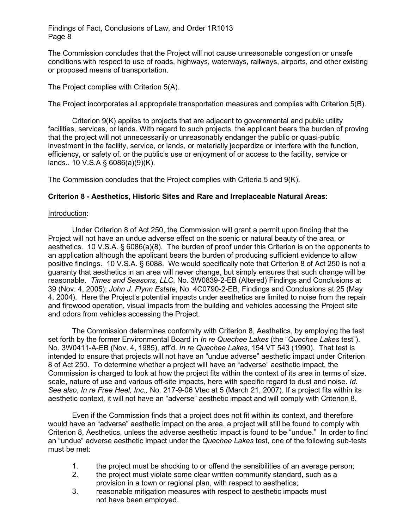The Commission concludes that the Project will not cause unreasonable congestion or unsafe conditions with respect to use of roads, highways, waterways, railways, airports, and other existing or proposed means of transportation.

The Project complies with Criterion 5(A).

The Project incorporates all appropriate transportation measures and complies with Criterion 5(B).

Criterion 9(K) applies to projects that are adjacent to governmental and public utility facilities, services, or lands. With regard to such projects, the applicant bears the burden of proving that the project will not unnecessarily or unreasonably endanger the public or quasi-public investment in the facility, service, or lands, or materially jeopardize or interfere with the function, efficiency, or safety of, or the public's use or enjoyment of or access to the facility, service or lands.. 10 V.S.A § 6086(a)(9)(K).

The Commission concludes that the Project complies with Criteria 5 and 9(K).

## **Criterion 8 - Aesthetics, Historic Sites and Rare and Irreplaceable Natural Areas:**

#### Introduction:

Under Criterion 8 of Act 250, the Commission will grant a permit upon finding that the Project will not have an undue adverse effect on the scenic or natural beauty of the area, or aesthetics. 10 V.S.A. § 6086(a)(8). The burden of proof under this Criterion is on the opponents to an application although the applicant bears the burden of producing sufficient evidence to allow positive findings. 10 V.S.A. § 6088. We would specifically note that Criterion 8 of Act 250 is not a guaranty that aesthetics in an area will never change, but simply ensures that such change will be reasonable. *Times and Seasons, LLC*, No. 3W0839-2-EB (Altered) Findings and Conclusions at 39 (Nov. 4, 2005); *John J. Flynn Estate*, No. 4C0790-2-EB, Findings and Conclusions at 25 (May 4, 2004). Here the Project's potential impacts under aesthetics are limited to noise from the repair and firewood operation, visual impacts from the building and vehicles accessing the Project site and odors from vehicles accessing the Project.

The Commission determines conformity with Criterion 8, Aesthetics, by employing the test set forth by the former Environmental Board in *In re Quechee Lakes* (the "*Quechee Lakes* test"). No. 3W0411-A-EB (Nov. 4, 1985), aff'd. *In re Quechee Lakes*, 154 VT 543 (1990). That test is intended to ensure that projects will not have an "undue adverse" aesthetic impact under Criterion 8 of Act 250. To determine whether a project will have an "adverse" aesthetic impact, the Commission is charged to look at how the project fits within the context of its area in terms of size, scale, nature of use and various off-site impacts, here with specific regard to dust and noise. *Id. See also*, *In re Free Heel, Inc.,* No. 217-9-06 Vtec at 5 (March 21, 2007). If a project fits within its aesthetic context, it will not have an "adverse" aesthetic impact and will comply with Criterion 8.

Even if the Commission finds that a project does not fit within its context, and therefore would have an "adverse" aesthetic impact on the area, a project will still be found to comply with Criterion 8, Aesthetics, unless the adverse aesthetic impact is found to be "undue." In order to find an "undue" adverse aesthetic impact under the *Quechee Lakes* test, one of the following sub-tests must be met:

- 1. the project must be shocking to or offend the sensibilities of an average person;
- 2. the project must violate some clear written community standard, such as a provision in a town or regional plan, with respect to aesthetics;
- 3. reasonable mitigation measures with respect to aesthetic impacts must not have been employed.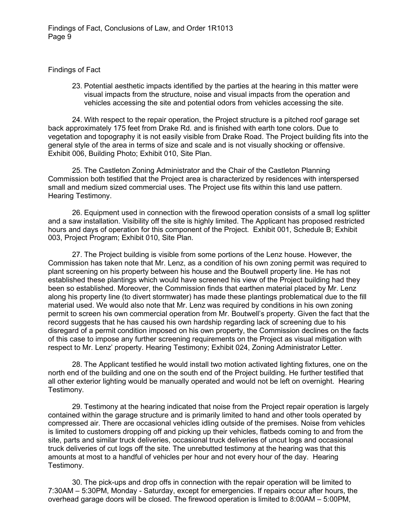## Findings of Fact

23. Potential aesthetic impacts identified by the parties at the hearing in this matter were visual impacts from the structure, noise and visual impacts from the operation and vehicles accessing the site and potential odors from vehicles accessing the site.

24. With respect to the repair operation, the Project structure is a pitched roof garage set back approximately 175 feet from Drake Rd. and is finished with earth tone colors. Due to vegetation and topography it is not easily visible from Drake Road. The Project building fits into the general style of the area in terms of size and scale and is not visually shocking or offensive. Exhibit 006, Building Photo; Exhibit 010, Site Plan.

25. The Castleton Zoning Administrator and the Chair of the Castleton Planning Commission both testified that the Project area is characterized by residences with interspersed small and medium sized commercial uses. The Project use fits within this land use pattern. Hearing Testimony.

26. Equipment used in connection with the firewood operation consists of a small log splitter and a saw installation. Visibility off the site is highly limited. The Applicant has proposed restricted hours and days of operation for this component of the Project. Exhibit 001, Schedule B; Exhibit 003, Project Program; Exhibit 010, Site Plan.

27. The Project building is visible from some portions of the Lenz house. However, the Commission has taken note that Mr. Lenz, as a condition of his own zoning permit was required to plant screening on his property between his house and the Boutwell property line. He has not established these plantings which would have screened his view of the Project building had they been so established. Moreover, the Commission finds that earthen material placed by Mr. Lenz along his property line (to divert stormwater) has made these plantings problematical due to the fill material used. We would also note that Mr. Lenz was required by conditions in his own zoning permit to screen his own commercial operation from Mr. Boutwell's property. Given the fact that the record suggests that he has caused his own hardship regarding lack of screening due to his disregard of a permit condition imposed on his own property, the Commission declines on the facts of this case to impose any further screening requirements on the Project as visual mitigation with respect to Mr. Lenz' property. Hearing Testimony; Exhibit 024, Zoning Administrator Letter.

28. The Applicant testified he would install two motion activated lighting fixtures, one on the north end of the building and one on the south end of the Project building. He further testified that all other exterior lighting would be manually operated and would not be left on overnight. Hearing Testimony.

29. Testimony at the hearing indicated that noise from the Project repair operation is largely contained within the garage structure and is primarily limited to hand and other tools operated by compressed air. There are occasional vehicles idling outside of the premises. Noise from vehicles is limited to customers dropping off and picking up their vehicles, flatbeds coming to and from the site, parts and similar truck deliveries, occasional truck deliveries of uncut logs and occasional truck deliveries of cut logs off the site. The unrebutted testimony at the hearing was that this amounts at most to a handful of vehicles per hour and not every hour of the day. Hearing Testimony.

30. The pick-ups and drop offs in connection with the repair operation will be limited to 7:30AM – 5:30PM, Monday - Saturday, except for emergencies. If repairs occur after hours, the overhead garage doors will be closed. The firewood operation is limited to 8:00AM – 5:00PM,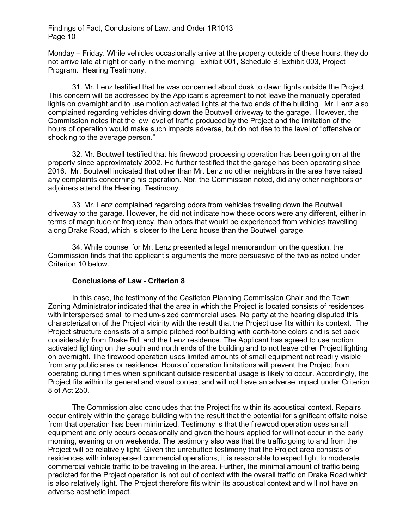Monday – Friday. While vehicles occasionally arrive at the property outside of these hours, they do not arrive late at night or early in the morning. Exhibit 001, Schedule B; Exhibit 003, Project Program.Hearing Testimony.

31. Mr. Lenz testified that he was concerned about dusk to dawn lights outside the Project. This concern will be addressed by the Applicant's agreement to not leave the manually operated lights on overnight and to use motion activated lights at the two ends of the building. Mr. Lenz also complained regarding vehicles driving down the Boutwell driveway to the garage. However, the Commission notes that the low level of traffic produced by the Project and the limitation of the hours of operation would make such impacts adverse, but do not rise to the level of "offensive or shocking to the average person."

32. Mr. Boutwell testified that his firewood processing operation has been going on at the property since approximately 2002. He further testified that the garage has been operating since 2016. Mr. Boutwell indicated that other than Mr. Lenz no other neighbors in the area have raised any complaints concerning his operation. Nor, the Commission noted, did any other neighbors or adjoiners attend the Hearing. Testimony.

33. Mr. Lenz complained regarding odors from vehicles traveling down the Boutwell driveway to the garage. However, he did not indicate how these odors were any different, either in terms of magnitude or frequency, than odors that would be experienced from vehicles travelling along Drake Road, which is closer to the Lenz house than the Boutwell garage.

34. While counsel for Mr. Lenz presented a legal memorandum on the question, the Commission finds that the applicant's arguments the more persuasive of the two as noted under Criterion 10 below.

#### **Conclusions of Law - Criterion 8**

In this case, the testimony of the Castleton Planning Commission Chair and the Town Zoning Administrator indicated that the area in which the Project is located consists of residences with interspersed small to medium-sized commercial uses. No party at the hearing disputed this characterization of the Project vicinity with the result that the Project use fits within its context. The Project structure consists of a simple pitched roof building with earth-tone colors and is set back considerably from Drake Rd. and the Lenz residence. The Applicant has agreed to use motion activated lighting on the south and north ends of the building and to not leave other Project lighting on overnight. The firewood operation uses limited amounts of small equipment not readily visible from any public area or residence. Hours of operation limitations will prevent the Project from operating during times when significant outside residential usage is likely to occur. Accordingly, the Project fits within its general and visual context and will not have an adverse impact under Criterion 8 of Act 250.

The Commission also concludes that the Project fits within its acoustical context. Repairs occur entirely within the garage building with the result that the potential for significant offsite noise from that operation has been minimized. Testimony is that the firewood operation uses small equipment and only occurs occasionally and given the hours applied for will not occur in the early morning, evening or on weekends. The testimony also was that the traffic going to and from the Project will be relatively light. Given the unrebutted testimony that the Project area consists of residences with interspersed commercial operations, it is reasonable to expect light to moderate commercial vehicle traffic to be traveling in the area. Further, the minimal amount of traffic being predicted for the Project operation is not out of context with the overall traffic on Drake Road which is also relatively light. The Project therefore fits within its acoustical context and will not have an adverse aesthetic impact.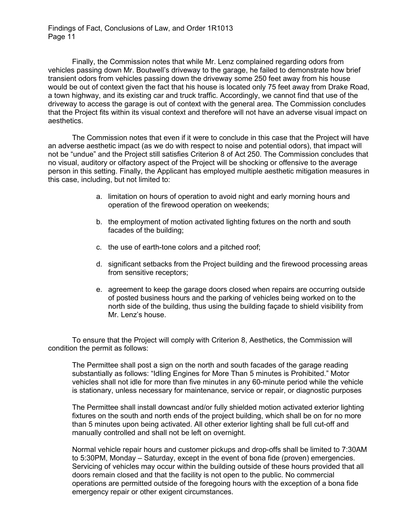Finally, the Commission notes that while Mr. Lenz complained regarding odors from vehicles passing down Mr. Boutwell's driveway to the garage, he failed to demonstrate how brief transient odors from vehicles passing down the driveway some 250 feet away from his house would be out of context given the fact that his house is located only 75 feet away from Drake Road, a town highway, and its existing car and truck traffic. Accordingly, we cannot find that use of the driveway to access the garage is out of context with the general area. The Commission concludes that the Project fits within its visual context and therefore will not have an adverse visual impact on aesthetics.

The Commission notes that even if it were to conclude in this case that the Project will have an adverse aesthetic impact (as we do with respect to noise and potential odors), that impact will not be "undue" and the Project still satisfies Criterion 8 of Act 250. The Commission concludes that no visual, auditory or olfactory aspect of the Project will be shocking or offensive to the average person in this setting. Finally, the Applicant has employed multiple aesthetic mitigation measures in this case, including, but not limited to:

- a. limitation on hours of operation to avoid night and early morning hours and operation of the firewood operation on weekends;
- b. the employment of motion activated lighting fixtures on the north and south facades of the building;
- c. the use of earth-tone colors and a pitched roof;
- d. significant setbacks from the Project building and the firewood processing areas from sensitive receptors;
- e. agreement to keep the garage doors closed when repairs are occurring outside of posted business hours and the parking of vehicles being worked on to the north side of the building, thus using the building façade to shield visibility from Mr. Lenz's house.

To ensure that the Project will comply with Criterion 8, Aesthetics, the Commission will condition the permit as follows:

The Permittee shall post a sign on the north and south facades of the garage reading substantially as follows: "Idling Engines for More Than 5 minutes is Prohibited." Motor vehicles shall not idle for more than five minutes in any 60-minute period while the vehicle is stationary, unless necessary for maintenance, service or repair, or diagnostic purposes

The Permittee shall install downcast and/or fully shielded motion activated exterior lighting fixtures on the south and north ends of the project building, which shall be on for no more than 5 minutes upon being activated. All other exterior lighting shall be full cut-off and manually controlled and shall not be left on overnight.

Normal vehicle repair hours and customer pickups and drop-offs shall be limited to 7:30AM to 5:30PM, Monday – Saturday, except in the event of bona fide (proven) emergencies. Servicing of vehicles may occur within the building outside of these hours provided that all doors remain closed and that the facility is not open to the public. No commercial operations are permitted outside of the foregoing hours with the exception of a bona fide emergency repair or other exigent circumstances.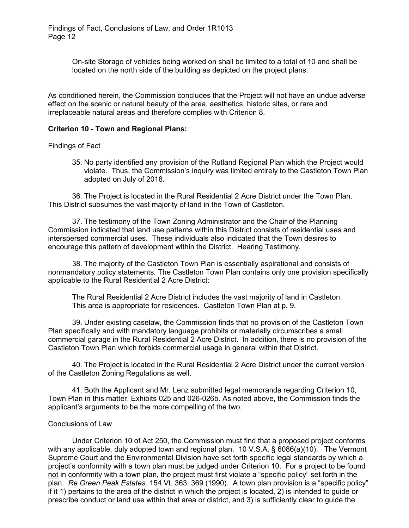On-site Storage of vehicles being worked on shall be limited to a total of 10 and shall be located on the north side of the building as depicted on the project plans.

As conditioned herein, the Commission concludes that the Project will not have an undue adverse effect on the scenic or natural beauty of the area, aesthetics, historic sites, or rare and irreplaceable natural areas and therefore complies with Criterion 8.

#### **Criterion 10 - Town and Regional Plans:**

Findings of Fact

35. No party identified any provision of the Rutland Regional Plan which the Project would violate. Thus, the Commission's inquiry was limited entirely to the Castleton Town Plan adopted on July of 2018.

36. The Project is located in the Rural Residential 2 Acre District under the Town Plan. This District subsumes the vast majority of land in the Town of Castleton.

37. The testimony of the Town Zoning Administrator and the Chair of the Planning Commission indicated that land use patterns within this District consists of residential uses and interspersed commercial uses. These individuals also indicated that the Town desires to encourage this pattern of development within the District. Hearing Testimony.

38. The majority of the Castleton Town Plan is essentially aspirational and consists of nonmandatory policy statements. The Castleton Town Plan contains only one provision specifically applicable to the Rural Residential 2 Acre District:

The Rural Residential 2 Acre District includes the vast majority of land in Castleton. This area is appropriate for residences. Castleton Town Plan at p. 9.

39. Under existing caselaw, the Commission finds that no provision of the Castleton Town Plan specifically and with mandatory language prohibits or materially circumscribes a small commercial garage in the Rural Residential 2 Acre District. In addition, there is no provision of the Castleton Town Plan which forbids commercial usage in general within that District.

40. The Project is located in the Rural Residential 2 Acre District under the current version of the Castleton Zoning Regulations as well.

41. Both the Applicant and Mr. Lenz submitted legal memoranda regarding Criterion 10, Town Plan in this matter. Exhibits 025 and 026-026b. As noted above, the Commission finds the applicant's arguments to be the more compelling of the two.

#### Conclusions of Law

Under Criterion 10 of Act 250, the Commission must find that a proposed project conforms with any applicable, duly adopted town and regional plan. 10 V.S.A. § 6086(a)(10). The Vermont Supreme Court and the Environmental Division have set forth specific legal standards by which a project's conformity with a town plan must be judged under Criterion 10. For a project to be found not in conformity with a town plan, the project must first violate a "specific policy" set forth in the plan. *Re Green Peak Estates,* 154 Vt. 363, 369 (1990). A town plan provision is a "specific policy" if it 1) pertains to the area of the district in which the project is located, 2) is intended to guide or prescribe conduct or land use within that area or district, and 3) is sufficiently clear to guide the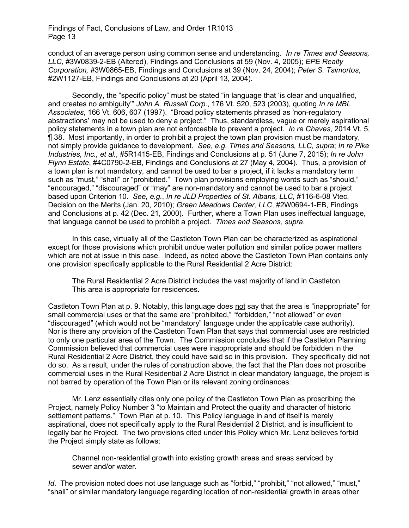conduct of an average person using common sense and understanding. *In re Times and Seasons, LLC,* #3W0839-2-EB (Altered), Findings and Conclusions at 59 (Nov. 4, 2005); *EPE Realty Corporation,* #3W0865-EB, Findings and Conclusions at 39 (Nov. 24, 2004); *Peter S. Tsimortos*, #2W1127-EB, Findings and Conclusions at 20 (April 13, 2004).

Secondly, the "specific policy" must be stated "in language that 'is clear and unqualified, and creates no ambiguity'" *John A. Russell Corp.*, 176 Vt. 520, 523 (2003), quoting *In re MBL Associates*, 166 Vt. 606, 607 (1997). "Broad policy statements phrased as 'non-regulatory abstractions' may not be used to deny a project." Thus, standardless, vague or merely aspirational policy statements in a town plan are not enforceable to prevent a project. *In re Chaves*, 2014 Vt. 5, ¶ 38. Most importantly, in order to prohibit a project the town plan provision must be mandatory, not simply provide guidance to development. *See*, *e.g. Times and Seasons, LLC, supra*; *In re Pike Industries, Inc., et al.*, #5R1415-EB, Findings and Conclusions at p. 51 (June 7, 2015); *In re John Flynn Estate*, #4C0790-2-EB, Findings and Conclusions at 27 (May 4, 2004). Thus, a provision of a town plan is not mandatory, and cannot be used to bar a project, if it lacks a mandatory term such as "must," "shall" or "prohibited." Town plan provisions employing words such as "should," "encouraged," "discouraged" or "may" are non-mandatory and cannot be used to bar a project based upon Criterion 10. *See, e.g.*, *In re JLD Properties of St. Albans, LLC*, #116-6-08 Vtec, Decision on the Merits (Jan. 20, 2010); *Green Meadows Center, LLC*, #2W0694-1-EB, Findings and Conclusions at p. 42 (Dec. 21, 2000). Further, where a Town Plan uses ineffectual language, that language cannot be used to prohibit a project. *Times and Seasons, supra*.

In this case, virtually all of the Castleton Town Plan can be characterized as aspirational except for those provisions which prohibit undue water pollution and similar police power matters which are not at issue in this case. Indeed, as noted above the Castleton Town Plan contains only one provision specifically applicable to the Rural Residential 2 Acre District:

The Rural Residential 2 Acre District includes the vast majority of land in Castleton. This area is appropriate for residences.

Castleton Town Plan at p. 9. Notably, this language does not say that the area is "inappropriate" for small commercial uses or that the same are "prohibited," "forbidden," "not allowed" or even "discouraged" (which would not be "mandatory" language under the applicable case authority). Nor is there any provision of the Castleton Town Plan that says that commercial uses are restricted to only one particular area of the Town. The Commission concludes that if the Castleton Planning Commission believed that commercial uses were inappropriate and should be forbidden in the Rural Residential 2 Acre District, they could have said so in this provision. They specifically did not do so. As a result, under the rules of construction above, the fact that the Plan does not proscribe commercial uses in the Rural Residential 2 Acre District in clear mandatory language, the project is not barred by operation of the Town Plan or its relevant zoning ordinances.

Mr. Lenz essentially cites only one policy of the Castleton Town Plan as proscribing the Project, namely Policy Number 3 "to Maintain and Protect the quality and character of historic settlement patterns." Town Plan at p. 10. This Policy language in and of itself is merely aspirational, does not specifically apply to the Rural Residential 2 District, and is insufficient to legally bar he Project. The two provisions cited under this Policy which Mr. Lenz believes forbid the Project simply state as follows:

Channel non-residential growth into existing growth areas and areas serviced by sewer and/or water.

*Id*. The provision noted does not use language such as "forbid," "prohibit," "not allowed," "must," "shall" or similar mandatory language regarding location of non-residential growth in areas other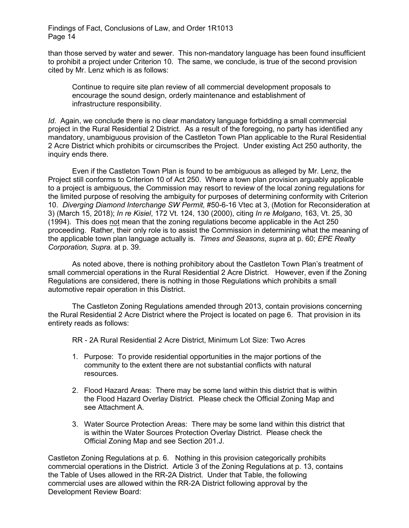than those served by water and sewer. This non-mandatory language has been found insufficient to prohibit a project under Criterion 10. The same, we conclude, is true of the second provision cited by Mr. Lenz which is as follows:

Continue to require site plan review of all commercial development proposals to encourage the sound design, orderly maintenance and establishment of infrastructure responsibility.

*Id.* Again, we conclude there is no clear mandatory language forbidding a small commercial project in the Rural Residential 2 District. As a result of the foregoing, no party has identified any mandatory, unambiguous provision of the Castleton Town Plan applicable to the Rural Residential 2 Acre District which prohibits or circumscribes the Project. Under existing Act 250 authority, the inquiry ends there.

Even if the Castleton Town Plan is found to be ambiguous as alleged by Mr. Lenz, the Project still conforms to Criterion 10 of Act 250. Where a town plan provision arguably applicable to a project is ambiguous, the Commission may resort to review of the local zoning regulations for the limited purpose of resolving the ambiguity for purposes of determining conformity with Criterion 10. *Diverging Diamond Interchange SW Permit,* #50-6-16 Vtec at 3, (Motion for Reconsideration at 3) (March 15, 2018); *In re Kisiel*, 172 Vt. 124, 130 (2000), citing *In re Molgano*, 163, Vt. 25, 30 (1994). This does not mean that the zoning regulations become applicable in the Act 250 proceeding. Rather, their only role is to assist the Commission in determining what the meaning of the applicable town plan language actually is. *Times and Seasons*, *supra* at p. 60; *EPE Realty Corporation, Supra.* at p. 39.

As noted above, there is nothing prohibitory about the Castleton Town Plan's treatment of small commercial operations in the Rural Residential 2 Acre District. However, even if the Zoning Regulations are considered, there is nothing in those Regulations which prohibits a small automotive repair operation in this District.

The Castleton Zoning Regulations amended through 2013, contain provisions concerning the Rural Residential 2 Acre District where the Project is located on page 6. That provision in its entirety reads as follows:

RR - 2A Rural Residential 2 Acre District, Minimum Lot Size: Two Acres

- 1. Purpose: To provide residential opportunities in the major portions of the community to the extent there are not substantial conflicts with natural resources.
- 2. Flood Hazard Areas: There may be some land within this district that is within the Flood Hazard Overlay District. Please check the Official Zoning Map and see Attachment A.
- 3. Water Source Protection Areas: There may be some land within this district that is within the Water Sources Protection Overlay District. Please check the Official Zoning Map and see Section 201.J.

Castleton Zoning Regulations at p. 6. Nothing in this provision categorically prohibits commercial operations in the District. Article 3 of the Zoning Regulations at p. 13, contains the Table of Uses allowed in the RR-2A District. Under that Table, the following commercial uses are allowed within the RR-2A District following approval by the Development Review Board: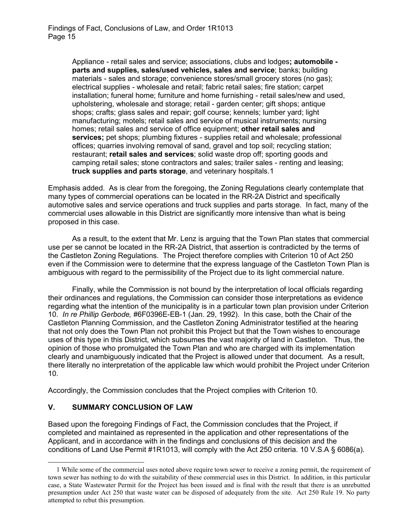Appliance - retail sales and service; associations, clubs and lodges**; automobile parts and supplies, sales/used vehicles, sales and service**; banks; building materials - sales and storage; convenience stores/small grocery stores (no gas); electrical supplies - wholesale and retail; fabric retail sales; fire station; carpet installation; funeral home; furniture and home furnishing - retail sales/new and used, upholstering, wholesale and storage; retail - garden center; gift shops; antique shops; crafts; glass sales and repair; golf course; kennels; lumber yard; light manufacturing; motels; retail sales and service of musical instruments; nursing homes; retail sales and service of office equipment; **other retail sales and services;** pet shops; plumbing fixtures - supplies retail and wholesale; professional offices; quarries involving removal of sand, gravel and top soil; recycling station; restaurant; **retail sales and services**; solid waste drop off; sporting goods and camping retail sales; stone contractors and sales; trailer sales - renting and leasing; **truck supplies and parts storage**, and veterinary hospitals.[1](#page-18-0)

Emphasis added. As is clear from the foregoing, the Zoning Regulations clearly contemplate that many types of commercial operations can be located in the RR-2A District and specifically automotive sales and service operations and truck supplies and parts storage. In fact, many of the commercial uses allowable in this District are significantly more intensive than what is being proposed in this case.

As a result, to the extent that Mr. Lenz is arguing that the Town Plan states that commercial use per se cannot be located in the RR-2A District, that assertion is contradicted by the terms of the Castleton Zoning Regulations. The Project therefore complies with Criterion 10 of Act 250 even if the Commission were to determine that the express language of the Castleton Town Plan is ambiguous with regard to the permissibility of the Project due to its light commercial nature.

Finally, while the Commission is not bound by the interpretation of local officials regarding their ordinances and regulations, the Commission can consider those interpretations as evidence regarding what the intention of the municipality is in a particular town plan provision under Criterion 10. *In re Phillip Gerbode,* #6F0396E-EB-1 (Jan. 29, 1992)*.* In this case, both the Chair of the Castleton Planning Commission, and the Castleton Zoning Administrator testified at the hearing that not only does the Town Plan not prohibit this Project but that the Town wishes to encourage uses of this type in this District, which subsumes the vast majority of land in Castleton. Thus, the opinion of those who promulgated the Town Plan and who are charged with its implementation clearly and unambiguously indicated that the Project is allowed under that document. As a result, there literally no interpretation of the applicable law which would prohibit the Project under Criterion 10.

Accordingly, the Commission concludes that the Project complies with Criterion 10.

## **V. SUMMARY CONCLUSION OF LAW**

Based upon the foregoing Findings of Fact, the Commission concludes that the Project, if completed and maintained as represented in the application and other representations of the Applicant, and in accordance with in the findings and conclusions of this decision and the conditions of Land Use Permit #1R1013, will comply with the Act 250 criteria. 10 V.S.A § 6086(a).

<span id="page-18-0"></span> <sup>1</sup> While some of the commercial uses noted above require town sewer to receive a zoning permit, the requirement of town sewer has nothing to do with the suitability of these commercial uses in this District. In addition, in this particular case, a State Wastewater Permit for the Project has been issued and is final with the result that there is an unrebutted presumption under Act 250 that waste water can be disposed of adequately from the site. Act 250 Rule 19. No party attempted to rebut this presumption.